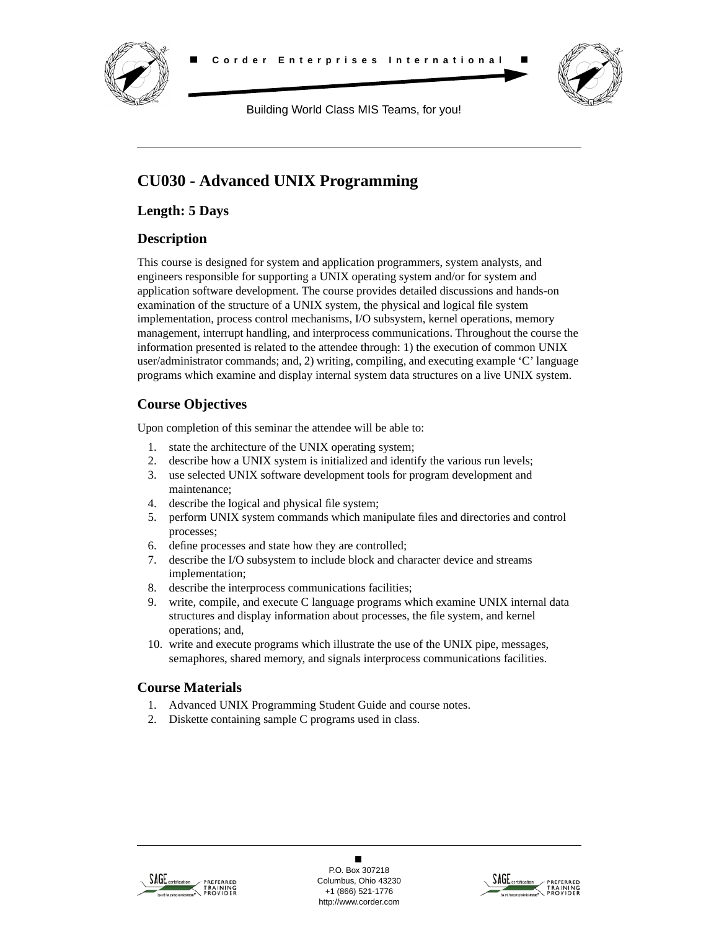



Building World Class MIS Teams, for you!

# **CU030 - Advanced UNIX Programming**

**Length: 5 Days**

# **Description**

This course is designed for system and application programmers, system analysts, and engineers responsible for supporting a UNIX operating system and/or for system and application software development. The course provides detailed discussions and hands-on examination of the structure of a UNIX system, the physical and logical file system implementation, process control mechanisms, I/O subsystem, kernel operations, memory management, interrupt handling, and interprocess communications. Throughout the course the information presented is related to the attendee through: 1) the execution of common UNIX user/administrator commands; and, 2) writing, compiling, and executing example 'C' language programs which examine and display internal system data structures on a live UNIX system.

# **Course Objectives**

Upon completion of this seminar the attendee will be able to:

- 1. state the architecture of the UNIX operating system;
- 2. describe how a UNIX system is initialized and identify the various run levels;
- 3. use selected UNIX software development tools for program development and maintenance;
- 4. describe the logical and physical file system;
- 5. perform UNIX system commands which manipulate files and directories and control processes;
- 6. define processes and state how they are controlled;
- 7. describe the I/O subsystem to include block and character device and streams implementation;
- 8. describe the interprocess communications facilities;
- 9. write, compile, and execute C language programs which examine UNIX internal data structures and display information about processes, the file system, and kernel operations; and,
- 10. write and execute programs which illustrate the use of the UNIX pipe, messages, semaphores, shared memory, and signals interprocess communications facilities.

# **Course Materials**

- 1. Advanced UNIX Programming Student Guide and course notes.
- 2. Diskette containing sample C programs used in class.



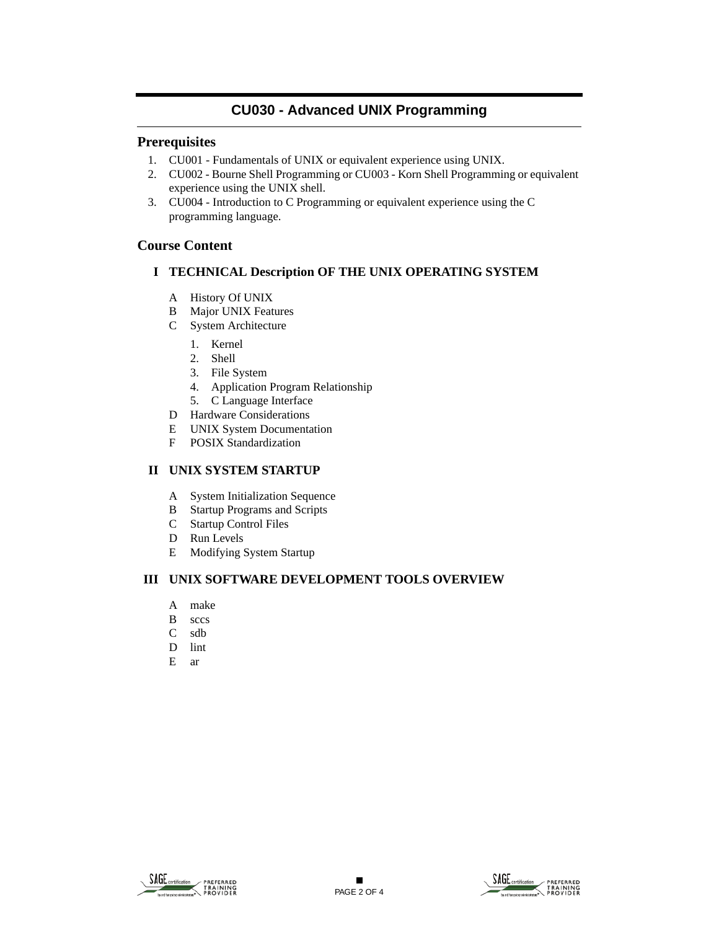# **CU030 - Advanced UNIX Programming**

### **Prerequisites**

- 1. CU001 Fundamentals of UNIX or equivalent experience using UNIX.
- 2. CU002 Bourne Shell Programming or CU003 Korn Shell Programming or equivalent experience using the UNIX shell.
- 3. CU004 Introduction to C Programming or equivalent experience using the C programming language.

### **Course Content**

#### **I TECHNICAL Description OF THE UNIX OPERATING SYSTEM**

- A History Of UNIX
- B Major UNIX Features
- C System Architecture
	- 1. Kernel
	- 2. Shell
	- 3. File System
	- 4. Application Program Relationship
	- 5. C Language Interface
- D Hardware Considerations
- E UNIX System Documentation
- F POSIX Standardization

#### **II UNIX SYSTEM STARTUP**

- A System Initialization Sequence
- B Startup Programs and Scripts
- C Startup Control Files
- D Run Levels
- E Modifying System Startup

#### **III UNIX SOFTWARE DEVELOPMENT TOOLS OVERVIEW**

- A make
- B sccs
- C sdb
- D lint
- E ar

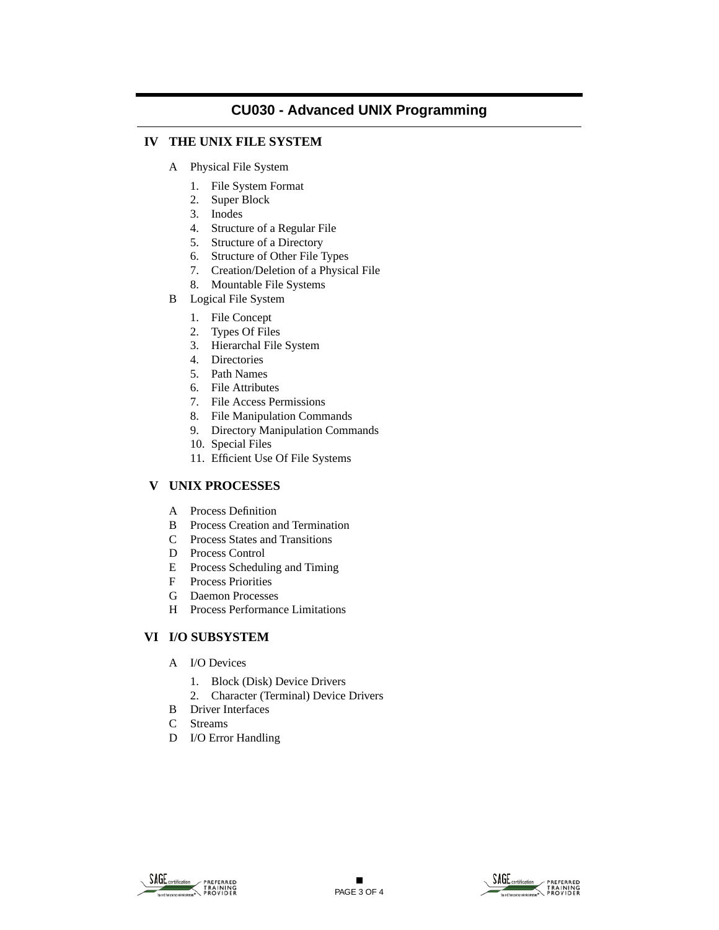## **CU030 - Advanced UNIX Programming**

### **IV THE UNIX FILE SYSTEM**

- A Physical File System
	- 1. File System Format
	- 2. Super Block
	- 3. Inodes
	- 4. Structure of a Regular File
	- 5. Structure of a Directory
	- 6. Structure of Other File Types
	- 7. Creation/Deletion of a Physical File
	- 8. Mountable File Systems
- B Logical File System
	- 1. File Concept
	- 2. Types Of Files
	- 3. Hierarchal File System
	- 4. Directories
	- 5. Path Names
	- 6. File Attributes
	- 7. File Access Permissions
	- 8. File Manipulation Commands
	- 9. Directory Manipulation Commands
	- 10. Special Files
	- 11. Efficient Use Of File Systems

### **V UNIX PROCESSES**

- A Process Definition
- B Process Creation and Termination
- C Process States and Transitions
- D Process Control
- E Process Scheduling and Timing
- F Process Priorities
- G Daemon Processes
- H Process Performance Limitations

#### **VI I/O SUBSYSTEM**

- A I/O Devices
	- 1. Block (Disk) Device Drivers
	- 2. Character (Terminal) Device Drivers
- B Driver Interfaces
- C Streams
- D I/O Error Handling